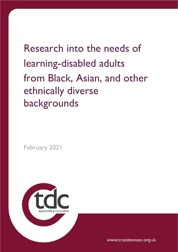Research into the needs of learning-disabled adults from Black, Asian, and other ethnically diverse backgrounds

February 2021



www.trustdevcom.org.uk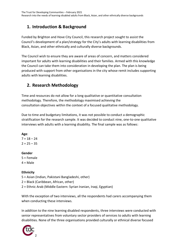## **1. Introduction & Background**

Funded by Brighton and Hove City Council, this research project sought to assist the Council's development of a plan/strategy for the City's adults with learning disabilities from Black, Asian, and other ethnically and culturally diverse backgrounds.

The Council wish to ensure they are aware of areas of concern, and matters considered important for adults with learning disabilities and their families. Armed with this knowledge the Council can take them into consideration in developing the plan. The plan is being produced with support from other organisations in the city whose remit includes supporting adults with learning disabilities.

## **2. Research Methodology**

Time and resources do not allow for a long qualitative or quantitative consultation methodology. Therefore, the methodology maximised achieving the consultation objectives within the context of a focused qualitative methodology.

Due to time and budgetary limitations, it was not possible to conduct a demographic stratification for the research sample. It was decided to conduct nine, one-to-one qualitative interviews with adults with a learning disability. The final sample was as follows:

**Age**:  $7 = 18 - 24$  $2 = 25 - 35$ 

**Gender** 5 = Female

 $4 = Male$ 

**Ethnicity**

- 5 = Asian (Indian, Pakistani Bangladeshi, other)
- 2 = Black (Caribbean, African, other)
- 2 = Ethnic Arab (Middle Eastern: Syrian Iranian, Iraqi, Egyptian)

With the exception of two interviews, all the respondents had carers accompanying them when conducting these interviews.

In addition to the nine learning disabled respondents, three interviews were conducted with senior representatives from voluntary sector providers of services to adults with learning disabilities. None of the three organisations provided culturally or ethnical diverse focused

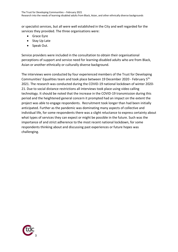or specialist services, but all were well established in the City and well regarded for the services they provided. The three organisations were:

- Grace Eyre
- Stay Up Late
- Speak Out.

Service providers were included in the consultation to obtain their organisational perceptions of support and service need for learning-disabled adults who are from Black, Asian or another ethnically or culturally diverse background.

The interviews were conducted by four experienced members of the Trust for Developing Communities' Equalities team and took place between 19 December 2020 - February 5th. 2021. The research was conducted during the COVID-19 national lockdown of winter 2020- 21. Due to social distance restrictions all interviews took place using video calling technology. It should be noted that the increase in the COVID-19 transmission during this period and the heightened general concern it prompted had an impact on the extent the project was able to engage respondents. Recruitment took longer than had been initially anticipated. Further as the pandemic was dominating many aspects of collective and individual life, for some respondents there was a slight reluctance to express certainty about what types of services they can expect or might be possible in the future. Such was the importance of and strict adherence to the most recent national lockdown, for some respondents thinking about and discussing past experiences or future hopes was challenging.

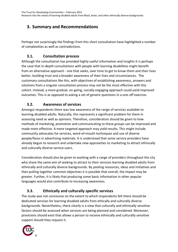# **3. Summary and Recommendations**

Perhaps not surprisingly the findings from this short consultation have highlighted a number of complexities as well as contradictions.

### **3.1. Consultation process**

Although the consultation has provided highly useful information and insights it is perhaps the case that in-depth consultations with people with learning disabilities might benefit from an alternative approach - one that seeks, over time to get to know them and their lives better, building trust and a broader awareness of their lives and circumstances. The customary consultations like this, with objectives of establishing awareness, answers and solutions from a singular consultation process may not be the most effective with this cohort. Instead, a more gradual, on-going, socially engaging approach could yield improved outcomes. This is as opposed to asking a set of generic questions in a one-off exercise.

### **3.2. Awareness of services**

Amongst respondents there was low awareness of the range of services available to learning-disabled adults. Naturally, this represents a significant problem for them in assessing need as well as opinions. Therefore, consideration should be given to how methods of marketing, promotion and communicating to these groups can be improved and made more effective. A more targeted approach may yield results. This might include community advocates for services, word-of-mouth techniques and use of diverse people/faces in advertising materials. It is understood that some service providers have already begun to research and undertake new approaches to marketing to attract ethnically and culturally diverse service users.

Consideration should also be given to working with a range of providers throughout the city who share the same aim of seeking to attract to their services learning disabled adults from ethnically and culturally diverse backgrounds. By pooling resources, ideas and initiatives and then pulling together common objectives it is possible that overall, the impact may be greater. Further, it is likely that producing some basic information in other popular languages would also contribute to increasing awareness.

## **3.3. Ethnically and culturally specific services**

The study was not conclusive on the extent to which respondents felt there should be dedicated services for learning disabled adults from ethically and culturally diverse backgrounds. Nevertheless, there clearly is a view that culturally and ethnically sensitive factors should be assessed when services are being planned and considered. Moreover, provisions should exist that allows a person to receive ethnically and culturally sensitive support should they request it.

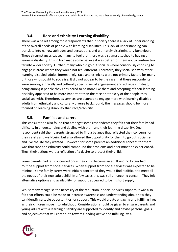## **3.4. Race and ethnicity: Learning disability**

There was a belief among most respondents that in society there is a lack of understanding of the overall needs of people with learning disabilities. This lack of understanding can translate into narrow attitudes and perceptions and ultimately discriminatory behaviour. These circumstances caused many to feel that there was a stigma attached to having a learning disability. This in turn made some believe it was better for them not to venture too far into wider society. Further, many who did go out socially where consciously choosing to engage in areas where they would not feel different. Therefore, they socialised with other learning-disabled adults. Interestingly, race and ethnicity were not primary factors for many of those who sought to socialise. It did not appear to be the case that these respondents were seeking ethnically and culturally specific social engagement and activities. Instead, being amongst people they considered to be more like them and accepting of their learning disability appeared to be more important than the race or ethnicity of the people they socialised with. Therefore, as services are planned to engage more with learning disabled adults from ethnically and culturally diverse background, the messages should be more focused on learning disability than race/ethnicity.

### **3.5. Families and carers**

This consultation also found that amongst some respondents they felt that their family had difficulty in understanding and dealing with them and their learning disability. One respondent said their parents struggled to find a balance that reflected their concerns for their safety and well-being but also allowed the opportunity for them to go out, socialise and live the life they wanted. However, for some parents an additional concern for them was that race and ethnicity could compound the problems and discrimination experienced. Thus, their actions were a reflection of a desire to protect their child.

Some parents had felt concerned once their child became an adult and no longer had routine support from social services. When support from social services was expected to be minimal, some family carers were initially concerned they would find it difficult to meet all the needs of their now adult child. In a few cases this was still an ongoing concern. They felt alternative options and availability for support appeared to be in short supply.

Whilst many recognise the necessity of the reduction in social services support, it was also felt that efforts could be made to increase awareness and understanding about how they can identify suitable opportunities for support. This would create engaging and fulfilling lives as their children move into adulthood. Consideration should be given to ensure parents and young adults with a learning disability are supported to identify and devise personal goals and objectives that will contribute towards leading active and fulfilling lives.

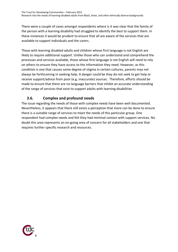There were a couple of cases amongst respondents where is it was clear that the family of the person with a learning disability had struggled to identify the best to support them. In these instances it would be prudent to ensure that all are aware of the services that are available to support individuals and the carers.

Those with learning disabled adults and children whose first language is not English are likely to require additional support. Unlike those who can understand and comprehend the processes and services available, those whose first language is not English will need to rely on others to ensure they have access to the information they need. However, as this condition is one that causes some degree of stigma in certain cultures, parents may not always be forthcoming in seeking help. A danger could be they do not seek to get help or receive support/advice from poor (e.g. inaccurate) sources. Therefore, efforts should be made to ensure that there are no language barriers that inhibit an accurate understanding of the range of services that exist to support adults with learning disabilities

## **3.6. Complex and profound needs**

The issue regarding the needs of those with complex needs have been well documented. Nevertheless, it appears that there still exists a perception that more can be done to ensure there is a suitable range of services to meet the needs of this particular group. One respondent had complex needs and felt they had minimal contact with support services. No doubt this area represents an on-going area of concern for all stakeholders and one that requires further specific research and resources.

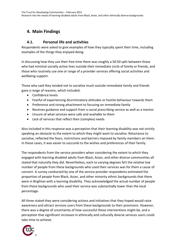# **4. Main Findings**

#### **4.1. Personal life and activities**

Respondents were asked to give examples of how they typically spent their time, including examples of the things they enjoyed doing.

In discussing how they use their free time there was roughly a 50:50 split between those who had minimal socially active lives outside their immediate circle of family or friends, and those who routinely use one or range of a provider services offering social activities and wellbeing support.

Those who said they tended not to socialise much outside immediate family and friends gave a range of reasons, which included:

- Confidence levels
- Fearful of experiencing discriminatory attitudes or hostile behaviour towards them
- Preference and strong attachment to focusing on immediate family
- Receives guidance and support from a social prescribing service as well as a mentor
- Unsure of what services were safe and available to them
- Lack of services that reflect their (complex) needs

Also included in this response was a perception that their learning disability was not strictly speaking an obstacle to the extent to which they might want to socialise. Reluctance to socialise, reflected the fears, restrictions and barriers imposed by family members on them. In these cases, it was easier to succumb to the wishes and preferences of their family.

The respondents from the service providers when considering the extent to which they engaged with learning disabled adults from Black, Asian, and other diverse communities all stated that naturally they did. Nevertheless, each to varying degrees felt the relative low number of people from these backgrounds who used their services was for them a cause of concern. A survey conducted by one of the service provider respondents estimated the proportion of people from Black, Asian, and other minority ethnic backgrounds that there were in Brighton with a learning disability. They acknowledged the actual number of people from these backgrounds who used their service was substantially lower than the local percentage.

All three stated they were considering actions and initiatives that they hoped would raise awareness and attract services users from these backgrounds to their provisions. However, there was a degree of uncertainty of how successful these interventions might be, and a perception that significant increases in ethnically and culturally diverse services users could take time to achieve.

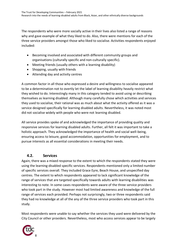The respondents who were more socially active in their lives also listed a range of reasons why and gave example of what they liked to do. Also, there were mentions for each of the three service providers amongst those who liked to socialise. Activities respondents enjoyed included:

- Becoming involved and associated with different community groups and organisations (culturally specific and non-culturally specific).
- Meeting friends (usually others with a learning disability)
- Shopping, usually with friends
- Attending day and activity centres

A common factor in all those who expressed a desire and willingness to socialise appeared to be a determination not to overtly let the label of learning disability heavily restrict what they wished to do. Interestingly many in this category tended to avoid using or describing themselves as learning disabled. Although many carefully chose which activities and services they used to socialise, their rational was as much about what the activity offered as it was a service designed specifically for learning disabled adults. Nevertheless, it was noted most did not socialise widely with people who were not learning disabled.

All service provides spoke of and acknowledged the importance of providing quality and responsive services for learning disabled adults. Further, all felt it was important to take a holistic approach. They acknowledged the importance of health and social well-being, ensuring access to leisure, good accommodation, opportunities for employment, and to pursue interests as all essential considerations in meeting their needs.

#### **4.2. Services**

Again, there was a mixed response to the extent to which the respondents stated they were using the learning-disabled specific services. Respondents mentioned only a limited number of specific services overall. They included Grace Eyre, Beach House, and unspecified day centres. The extent to which respondents appeared to lack significant knowledge of the range of services that are targeted specifically towards adults with learning disabilities was interesting to note. In some cases respondents were aware of the three service providers who took part in the study. However most had limited awareness and knowledge of the full range of services each provided. Perhaps not surprisingly, two or three respondents said they had no knowledge at all of the any of the three service providers who took part in this study.

Most respondents were unable to say whether the services they used were delivered by the City Council or other providers. Nevertheless, most who access services appear to be largely

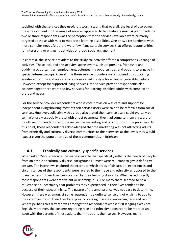satisfied with the services they used. It is worth stating that overall, the level of use across these respondents to the range of services appeared to be relatively small. A point made by two or three respondents was the perception that the services available were primarily targeted at those with mild to moderate learning disabilities. One or two respondents with more complex needs felt there were few if any suitable services that offered opportunities for interesting or engaging activities or broad social engagement.

In contrast, the service providers to the study collectively offered a comprehensive range of activities. These included arts activity, sports events, leisure pursuits, friendship and buddying opportunities, employment, volunteering opportunities and options to engage in special interest groups. Overall, the three service providers were focused on supporting greater autonomy and options for a more varied lifestyle for all learning-disabled adults. However, except for supported living services, the service provider respondents also acknowledged there were too few services for learning disabled adults with complex or profound needs.

For the service provider respondents whose core provision was care and support for independent living/housing most of their service users were said to be referrals from social services. However, collectively this group also stated their service users could typically be self-referrals – especially those with direct payments, they had come to them via word-ofmouth recommendation and the respective marketing and promotions of the providers. At this point, these respondents acknowledged that the marketing was not attracting adults from ethnically and culturally diverse communities to their services at the levels they would expect given the population size of these communities in Brighton.

#### **4.3. Ethnically and culturally specific services**

When asked 'Should services be made available that specifically reflects the needs of people from an ethnic or culturally diverse backgrounds?' most were reluctant to give a definitive answer. The interviews explored the extent to which areas of discussion, experiences and circumstances of the respondents were related to their race and ethnicity as opposed to the main barriers in their lives being caused by their learning disability. When asked directly, most respondents were ambivalent or unambiguous. For many there seemed to be a reluctance or uncertainty that problems they experienced in their lives tended to be because of their race/ethnicity. The nature of the ambivalence was not easy to determine. However, there was amongst some respondents a definite sense of not wishing to add to their complexities of their lives by expressly bringing in issues concerning race and racism. Where perhaps this differed was amongst the respondents whose first language was not English. Moreover, the concern regarding race and ethnicity appeared to be more of an issue with the parents of these adults than the adults themselves. However, many

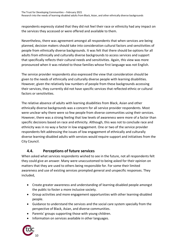respondents expressly stated that they did not feel their race or ethnicity had any impact on the services they accessed or were offered and available to them.

Nevertheless, there was agreement amongst all respondents that when services are being planned, decision makers should take into consideration cultural factors and sensitivities of people from ethnically diverse backgrounds. It was felt that there should be options for all adults from ethnically and culturally diverse backgrounds to access services and support that specifically reflects their cultural needs and sensitivities. Again, this view was more pronounced when it was related to those families whose first language was not English.

The service provider respondents also expressed the view that consideration should be given to the needs of ethnically and culturally diverse people with learning disabilities. However, given the relatively low numbers of people from these backgrounds accessing their services, they currently did not have specific services that reflected ethnic or cultural factors or sensitivities.

The relative absence of adults with learning disabilities from Black, Asian and other ethnically diverse backgrounds was a concern for all service provider respondents. Most were unclear why there were so few people from diverse communities using their services. However, there was a strong feeling that low levels of awareness were more of a factor than specific decisions based on race and ethnicity. Although, this was not to conclude race and ethnicity was in no way a factor in low engagement. One or two of the service provider respondents felt addressing the issues of low engagement of ethnically and culturally diverse learning-disabled adults with services would require support and initiatives from the City Council.

### **4.4. Perceptions of future services**

When asked what services respondents wished to see in the future, not all respondents felt they could give an answer. Many were unaccustomed to being asked for their opinion on matters that they are used to others being responsible for. For some their limited awareness and use of existing services prompted general and unspecific responses. They included,

- Create greater awareness and understanding of learning-disabled people amongst the public to foster a more inclusive society.
- Group activities and more engagement opportunities with other learning-disabled people.
- Guidance to understand the services and the social care system specially from the perspective of Black, Asian, and diverse communities.
- Parents' groups supporting those with young children.
- Information on services available in other languages.

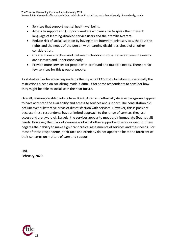- Services that support mental health wellbeing.
- Access to support and (support) workers who are able to speak the different language of learning-disabled service users and their families/carers.
- Reduce risk of social isolation by having more interventionist services, that put the rights and the needs of the person with learning disabilities ahead of all other consideration.
- Greater more effective work between schools and social services to ensure needs are assessed and understood early.
- Provide more services for people with profound and multiple needs. There are far few services for this group of people.

As stated earlier for some respondents the impact of COVID-19 lockdowns, specifically the restrictions placed on socialising made it difficult for some respondents to consider how they might be able to socialise in the near future.

Overall, learning disabled adults from Black, Asian and ethnically diverse background appear to have accepted the availability and access to services and support. The consultation did not uncover substantive areas of dissatisfaction with services. However, this is possibly because these respondents have a limited approach to the range of services they use, access and are aware of. Largely, the services appear to meet their immediate (but not all) needs. However, their lack of awareness of what other support and services exist for them negates their ability to make significant critical assessments of services and their needs. For most of these respondents, their race and ethnicity do not appear to be at the forefront of their concerns on matters of care and support.

End. February 2020.